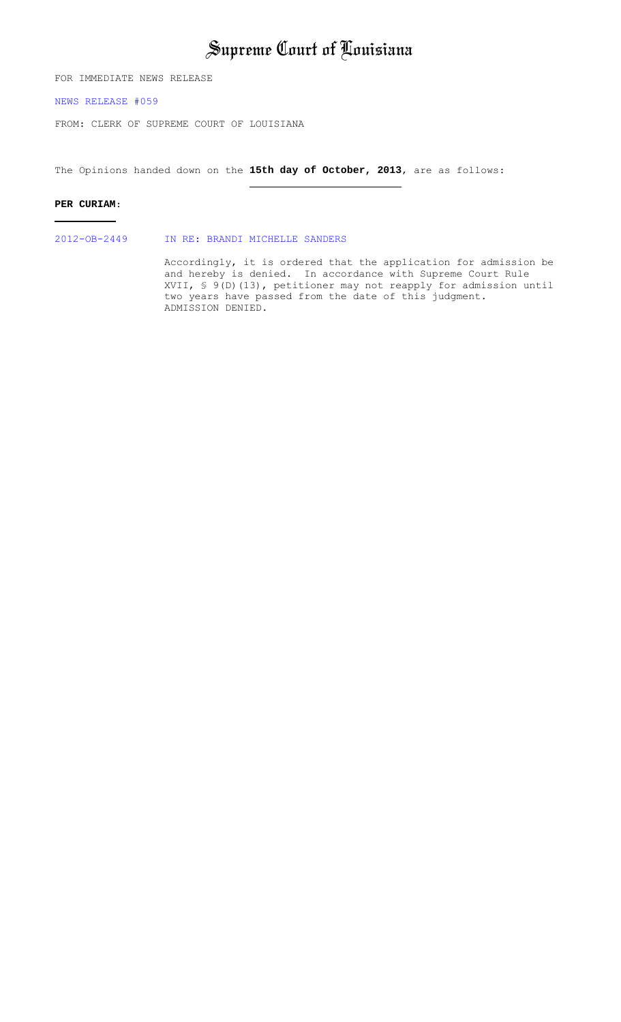# Supreme Court of Louisiana

FOR IMMEDIATE NEWS RELEASE

### [NEWS RELEASE #059](http://www.lasc.org/Opinions?p=2013-059)

FROM: CLERK OF SUPREME COURT OF LOUISIANA

The Opinions handed down on the **15th day of October, 2013**, are as follows:

#### **PER CURIAM**:

[2012-OB-2449 IN RE: BRANDI MICHELLE SANDERS](#page-1-0) 

Accordingly, it is ordered that the application for admission be and hereby is denied. In accordance with Supreme Court Rule XVII, § 9(D)(13), petitioner may not reapply for admission until two years have passed from the date of this judgment. ADMISSION DENIED.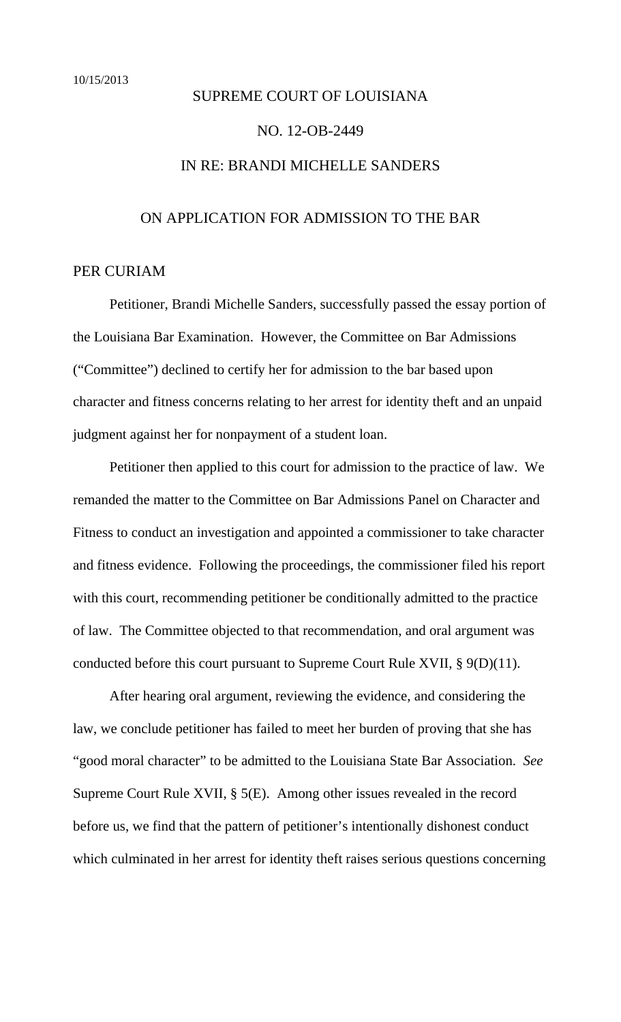# <span id="page-1-0"></span>SUPREME COURT OF LOUISIANA NO. 12-OB-2449 IN RE: BRANDI MICHELLE SANDERS

## ON APPLICATION FOR ADMISSION TO THE BAR

### PER CURIAM

Petitioner, Brandi Michelle Sanders, successfully passed the essay portion of the Louisiana Bar Examination. However, the Committee on Bar Admissions ("Committee") declined to certify her for admission to the bar based upon character and fitness concerns relating to her arrest for identity theft and an unpaid judgment against her for nonpayment of a student loan.

Petitioner then applied to this court for admission to the practice of law. We remanded the matter to the Committee on Bar Admissions Panel on Character and Fitness to conduct an investigation and appointed a commissioner to take character and fitness evidence. Following the proceedings, the commissioner filed his report with this court, recommending petitioner be conditionally admitted to the practice of law. The Committee objected to that recommendation, and oral argument was conducted before this court pursuant to Supreme Court Rule XVII, § 9(D)(11).

After hearing oral argument, reviewing the evidence, and considering the law, we conclude petitioner has failed to meet her burden of proving that she has "good moral character" to be admitted to the Louisiana State Bar Association. *See* Supreme Court Rule XVII, § 5(E). Among other issues revealed in the record before us, we find that the pattern of petitioner's intentionally dishonest conduct which culminated in her arrest for identity theft raises serious questions concerning